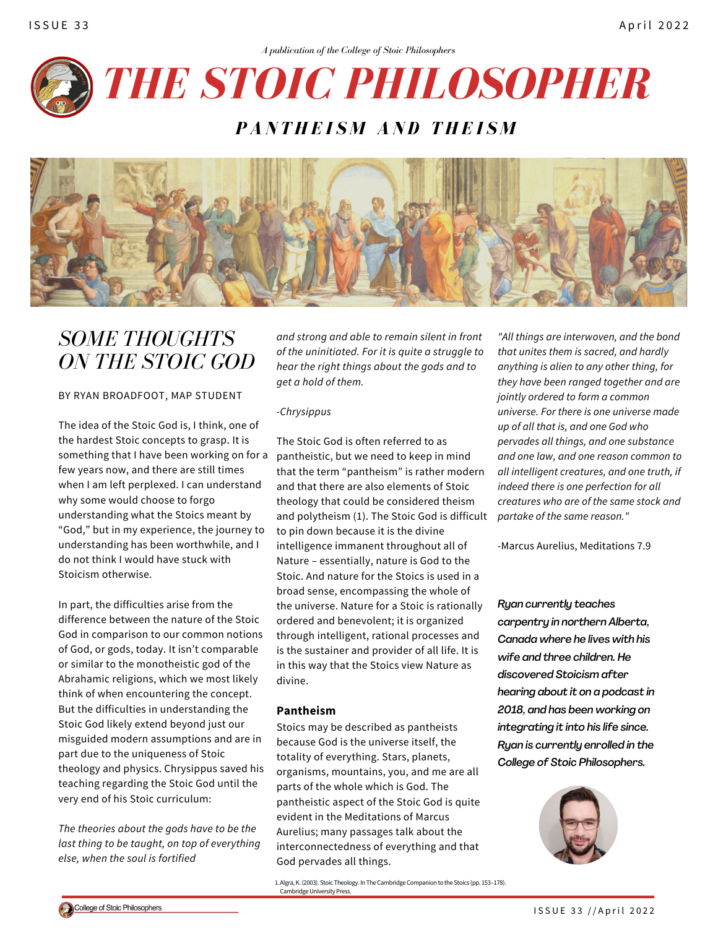

## *P A N T H E I S M A N D T H E I S M*



# *SOME THOUGHTS ON THE STOIC GOD*

### BY RYAN BROADFOOT, MAP STUDENT

The idea of the Stoic God is, I think, one of the hardest Stoic concepts to grasp. It is something that I have been working on for a few years now, and there are still times when I am left perplexed. I can understand why some would choose to forgo understanding what the Stoics meant by "God," but in my experience, the journey to understanding has been worthwhile, and I do not think I would have stuck with Stoicism otherwise.

In part, the difficulties arise from the difference between the nature of the Stoic God in comparison to our common notions of God, or gods, today. It isn't comparable or similar to the monotheistic god of the Abrahamic religions, which we most likely think of when encountering the concept. But the difficulties in understanding the Stoic God likely extend beyond just our misguided modern assumptions and are in part due to the uniqueness of Stoic theology and physics. Chrysippus saved his teaching regarding the Stoic God until the very end of his Stoic curriculum:

*The theories about the gods have to be the last thing to be taught, on top of everything else, when the soul is fortified*

*and strong and able to remain silent in front of the uninitiated. For it is quite a struggle to hear the right things about the gods and to get a hold of them.*

#### *-Chrysippus*

The Stoic God is often referred to as pantheistic, but we need to keep in mind that the term "pantheism" is rather modern and that there are also elements of Stoic theology that could be considered theism and polytheism (1). The Stoic God is difficult to pin down because it is the divine intelligence immanent throughout all of Nature – essentially, nature is God to the Stoic. And nature for the Stoics is used in a broad sense, encompassing the whole of the universe. Nature for a Stoic is rationally ordered and benevolent; it is organized through intelligent, rational processes and is the sustainer and provider of all life. It is in this way that the Stoics view Nature as divine.

#### **Pantheism**

Stoics may be described as pantheists because God is the universe itself, the totality of everything. Stars, planets, organisms, mountains, you, and me are all parts of the whole which is God. The pantheistic aspect of the Stoic God is quite evident in the Meditations of Marcus Aurelius; many passages talk about the interconnectedness of everything and that God pervades all things.

1. Algra, K. (2003). Stoic Theology. In The Cambridge Companion to the Stoics (pp. 153-178). Cambridge University Press.

*"All things are interwoven, and the bond that unites them is sacred, and hardly anything is alien to any other thing, for they have been ranged together and are jointly ordered to form a common universe. For there is one universe made up of all that is, and one God who pervades all things, and one substance and one law, and one reason common to all intelligent creatures, and one truth, if indeed there is one perfection for all creatures who are of the same stock and partake of the same reason."*

-Marcus Aurelius, Meditations 7.9

*Ryan currently teaches carpentry in northern Alberta, Canada where he lives with his wife and three children. He discovered Stoicism after hearing about it on a podcast in 2018, and has been working on integrating it into his life since. Ryan is currently enrolled in the College of Stoic Philosophers.*